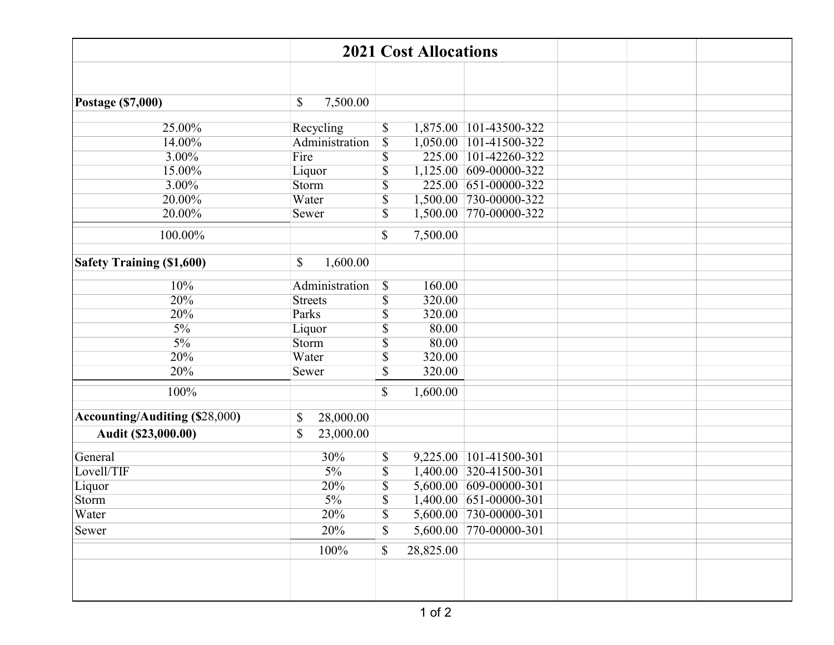| <b>2021 Cost Allocations</b>          |                   |                           |           |                        |  |  |  |  |
|---------------------------------------|-------------------|---------------------------|-----------|------------------------|--|--|--|--|
|                                       |                   |                           |           |                        |  |  |  |  |
|                                       |                   |                           |           |                        |  |  |  |  |
| Postage (\$7,000)                     | 7,500.00<br>\$    |                           |           |                        |  |  |  |  |
| 25.00%                                | Recycling         | \$                        |           | 1,875.00 101-43500-322 |  |  |  |  |
| 14.00%                                | Administration    | $\overline{\mathcal{S}}$  |           | 1,050.00 101-41500-322 |  |  |  |  |
| 3.00%                                 | Fire              | $\overline{\$}$           |           | 225.00 101-42260-322   |  |  |  |  |
| 15.00%                                | Liquor            | \$                        |           | 1,125.00 609-00000-322 |  |  |  |  |
| 3.00%                                 | Storm             | $\overline{\mathbb{S}}$   | 225.00    | 651-00000-322          |  |  |  |  |
| 20.00%                                | Water             | $\overline{\$}$           |           | 1,500.00 730-00000-322 |  |  |  |  |
| 20.00%                                | Sewer             | $\overline{\$}$           | 1,500.00  | 770-00000-322          |  |  |  |  |
|                                       |                   |                           |           |                        |  |  |  |  |
| 100.00%                               |                   | \$                        | 7,500.00  |                        |  |  |  |  |
| <b>Safety Training (\$1,600)</b>      | 1,600.00<br>\$    |                           |           |                        |  |  |  |  |
|                                       |                   |                           |           |                        |  |  |  |  |
| 10%                                   | Administration    | $\boldsymbol{\mathsf{S}}$ | 160.00    |                        |  |  |  |  |
| 20%                                   | <b>Streets</b>    | $\overline{\mathbb{S}}$   | 320.00    |                        |  |  |  |  |
| 20%                                   | Parks             | $\overline{\mathbb{S}}$   | 320.00    |                        |  |  |  |  |
| $\frac{5\%}{ }$                       | Liquor            | \$                        | 80.00     |                        |  |  |  |  |
| $5\%$                                 | Storm             | $\overline{\$}$           | 80.00     |                        |  |  |  |  |
| 20%                                   | Water             | $\overline{\$}$           | 320.00    |                        |  |  |  |  |
| 20%                                   | Sewer             | $\overline{\mathbb{S}}$   | 320.00    |                        |  |  |  |  |
| 100%                                  |                   | \$                        | 1,600.00  |                        |  |  |  |  |
| <b>Accounting/Auditing (\$28,000)</b> | \$<br>28,000.00   |                           |           |                        |  |  |  |  |
|                                       |                   |                           |           |                        |  |  |  |  |
| Audit (\$23,000.00)                   | \$<br>23,000.00   |                           |           |                        |  |  |  |  |
| General                               | 30%               | \$                        |           | 9,225.00 101-41500-301 |  |  |  |  |
| Lovell/TIF                            | $5\%$             | $\overline{\mathbb{S}}$   |           | 1,400.00 320-41500-301 |  |  |  |  |
| Liquor                                | $\overline{20\%}$ | $\overline{\mathbb{S}}$   |           | 5,600.00 609-00000-301 |  |  |  |  |
| Storm                                 | $5\%$             | $\overline{\$}$           |           | 1,400.00 651-00000-301 |  |  |  |  |
| Water                                 | 20%               | $\boldsymbol{\mathsf{S}}$ |           | 5,600.00 730-00000-301 |  |  |  |  |
| Sewer                                 | 20%               | $\mathcal{S}$             |           | 5,600.00 770-00000-301 |  |  |  |  |
|                                       | 100%              | \$                        | 28,825.00 |                        |  |  |  |  |
|                                       |                   |                           |           |                        |  |  |  |  |
|                                       |                   |                           |           |                        |  |  |  |  |
|                                       |                   |                           |           |                        |  |  |  |  |